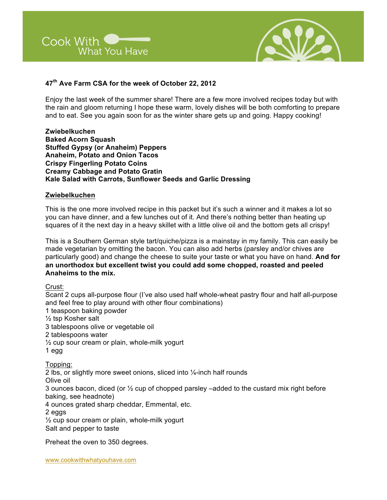



# **47th Ave Farm CSA for the week of October 22, 2012**

Enjoy the last week of the summer share! There are a few more involved recipes today but with the rain and gloom returning I hope these warm, lovely dishes will be both comforting to prepare and to eat. See you again soon for as the winter share gets up and going. Happy cooking!

**Zwiebelkuchen Baked Acorn Squash Stuffed Gypsy (or Anaheim) Peppers Anaheim, Potato and Onion Tacos Crispy Fingerling Potato Coins Creamy Cabbage and Potato Gratin Kale Salad with Carrots, Sunflower Seeds and Garlic Dressing**

#### **Zwiebelkuchen**

This is the one more involved recipe in this packet but it's such a winner and it makes a lot so you can have dinner, and a few lunches out of it. And there's nothing better than heating up squares of it the next day in a heavy skillet with a little olive oil and the bottom gets all crispy!

This is a Southern German style tart/quiche/pizza is a mainstay in my family. This can easily be made vegetarian by omitting the bacon. You can also add herbs (parsley and/or chives are particularly good) and change the cheese to suite your taste or what you have on hand. **And for an unorthodox but excellent twist you could add some chopped, roasted and peeled Anaheims to the mix.** 

Crust:

Scant 2 cups all-purpose flour (I've also used half whole-wheat pastry flour and half all-purpose and feel free to play around with other flour combinations) 1 teaspoon baking powder ½ tsp Kosher salt 3 tablespoons olive or vegetable oil 2 tablespoons water ½ cup sour cream or plain, whole-milk yogurt 1 egg Topping: 2 lbs, or slightly more sweet onions, sliced into ¼-inch half rounds Olive oil 3 ounces bacon, diced (or  $\frac{1}{2}$  cup of chopped parsley –added to the custard mix right before baking, see headnote) 4 ounces grated sharp cheddar, Emmental, etc. 2 eggs  $\frac{1}{2}$  cup sour cream or plain, whole-milk yogurt Salt and pepper to taste

Preheat the oven to 350 degrees.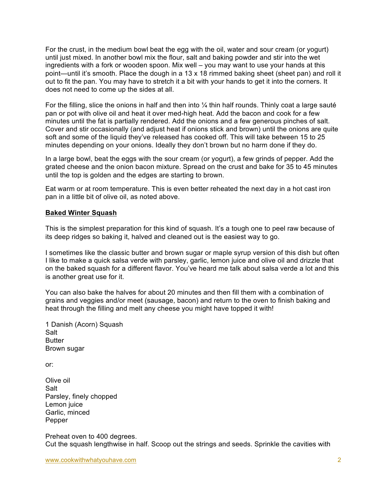For the crust, in the medium bowl beat the egg with the oil, water and sour cream (or yogurt) until just mixed. In another bowl mix the flour, salt and baking powder and stir into the wet ingredients with a fork or wooden spoon. Mix well – you may want to use your hands at this point—until it's smooth. Place the dough in a 13 x 18 rimmed baking sheet (sheet pan) and roll it out to fit the pan. You may have to stretch it a bit with your hands to get it into the corners. It does not need to come up the sides at all.

For the filling, slice the onions in half and then into  $\frac{1}{4}$  thin half rounds. Thinly coat a large sauté pan or pot with olive oil and heat it over med-high heat. Add the bacon and cook for a few minutes until the fat is partially rendered. Add the onions and a few generous pinches of salt. Cover and stir occasionally (and adjust heat if onions stick and brown) until the onions are quite soft and some of the liquid they've released has cooked off. This will take between 15 to 25 minutes depending on your onions. Ideally they don't brown but no harm done if they do.

In a large bowl, beat the eggs with the sour cream (or yogurt), a few grinds of pepper. Add the grated cheese and the onion bacon mixture. Spread on the crust and bake for 35 to 45 minutes until the top is golden and the edges are starting to brown.

Eat warm or at room temperature. This is even better reheated the next day in a hot cast iron pan in a little bit of olive oil, as noted above.

#### **Baked Winter Squash**

This is the simplest preparation for this kind of squash. It's a tough one to peel raw because of its deep ridges so baking it, halved and cleaned out is the easiest way to go.

I sometimes like the classic butter and brown sugar or maple syrup version of this dish but often I like to make a quick salsa verde with parsley, garlic, lemon juice and olive oil and drizzle that on the baked squash for a different flavor. You've heard me talk about salsa verde a lot and this is another great use for it.

You can also bake the halves for about 20 minutes and then fill them with a combination of grains and veggies and/or meet (sausage, bacon) and return to the oven to finish baking and heat through the filling and melt any cheese you might have topped it with!

1 Danish (Acorn) Squash Salt **Butter** Brown sugar

or:

Olive oil Salt Parsley, finely chopped Lemon juice Garlic, minced Pepper

Preheat oven to 400 degrees. Cut the squash lengthwise in half. Scoop out the strings and seeds. Sprinkle the cavities with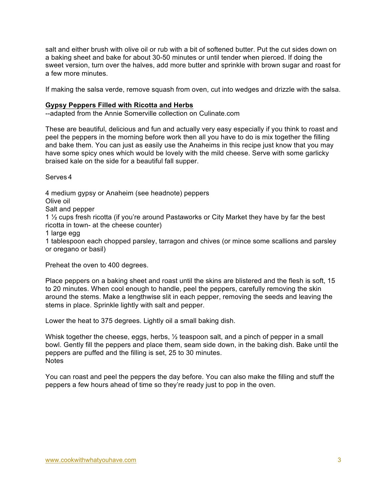salt and either brush with olive oil or rub with a bit of softened butter. Put the cut sides down on a baking sheet and bake for about 30-50 minutes or until tender when pierced. If doing the sweet version, turn over the halves, add more butter and sprinkle with brown sugar and roast for a few more minutes.

If making the salsa verde, remove squash from oven, cut into wedges and drizzle with the salsa.

### **Gypsy Peppers Filled with Ricotta and Herbs**

--adapted from the Annie Somerville collection on Culinate.com

These are beautiful, delicious and fun and actually very easy especially if you think to roast and peel the peppers in the morning before work then all you have to do is mix together the filling and bake them. You can just as easily use the Anaheims in this recipe just know that you may have some spicy ones which would be lovely with the mild cheese. Serve with some garlicky braised kale on the side for a beautiful fall supper.

Serves 4

4 medium gypsy or Anaheim (see headnote) peppers

Olive oil

Salt and pepper

1 ½ cups fresh ricotta (if you're around Pastaworks or City Market they have by far the best ricotta in town- at the cheese counter)

1 large egg

1 tablespoon each chopped parsley, tarragon and chives (or mince some scallions and parsley or oregano or basil)

Preheat the oven to 400 degrees.

Place peppers on a baking sheet and roast until the skins are blistered and the flesh is soft, 15 to 20 minutes. When cool enough to handle, peel the peppers, carefully removing the skin around the stems. Make a lengthwise slit in each pepper, removing the seeds and leaving the stems in place. Sprinkle lightly with salt and pepper.

Lower the heat to 375 degrees. Lightly oil a small baking dish.

Whisk together the cheese, eggs, herbs,  $\frac{1}{2}$  teaspoon salt, and a pinch of pepper in a small bowl. Gently fill the peppers and place them, seam side down, in the baking dish. Bake until the peppers are puffed and the filling is set, 25 to 30 minutes. **Notes** 

You can roast and peel the peppers the day before. You can also make the filling and stuff the peppers a few hours ahead of time so they're ready just to pop in the oven.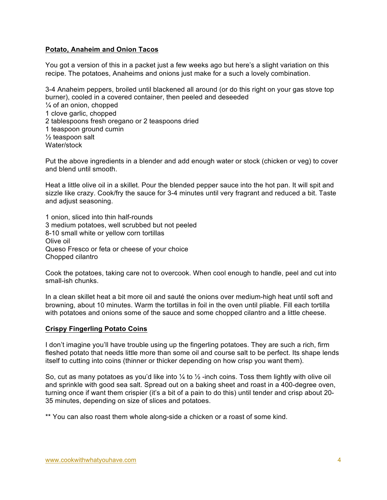### **Potato, Anaheim and Onion Tacos**

You got a version of this in a packet just a few weeks ago but here's a slight variation on this recipe. The potatoes, Anaheims and onions just make for a such a lovely combination.

3-4 Anaheim peppers, broiled until blackened all around (or do this right on your gas stove top burner), cooled in a covered container, then peeled and deseeded  $\frac{1}{4}$  of an onion, chopped 1 clove garlic, chopped 2 tablespoons fresh oregano or 2 teaspoons dried 1 teaspoon ground cumin ½ teaspoon salt Water/stock

Put the above ingredients in a blender and add enough water or stock (chicken or veg) to cover and blend until smooth.

Heat a little olive oil in a skillet. Pour the blended pepper sauce into the hot pan. It will spit and sizzle like crazy. Cook/fry the sauce for 3-4 minutes until very fragrant and reduced a bit. Taste and adjust seasoning.

1 onion, sliced into thin half-rounds 3 medium potatoes, well scrubbed but not peeled 8-10 small white or yellow corn tortillas Olive oil Queso Fresco or feta or cheese of your choice Chopped cilantro

Cook the potatoes, taking care not to overcook. When cool enough to handle, peel and cut into small-ish chunks.

In a clean skillet heat a bit more oil and sauté the onions over medium-high heat until soft and browning, about 10 minutes. Warm the tortillas in foil in the oven until pliable. Fill each tortilla with potatoes and onions some of the sauce and some chopped cilantro and a little cheese.

#### **Crispy Fingerling Potato Coins**

I don't imagine you'll have trouble using up the fingerling potatoes. They are such a rich, firm fleshed potato that needs little more than some oil and course salt to be perfect. Its shape lends itself to cutting into coins (thinner or thicker depending on how crisp you want them).

So, cut as many potatoes as you'd like into  $\frac{1}{4}$  to  $\frac{1}{2}$ -inch coins. Toss them lightly with olive oil and sprinkle with good sea salt. Spread out on a baking sheet and roast in a 400-degree oven, turning once if want them crispier (it's a bit of a pain to do this) until tender and crisp about 20- 35 minutes, depending on size of slices and potatoes.

\*\* You can also roast them whole along-side a chicken or a roast of some kind.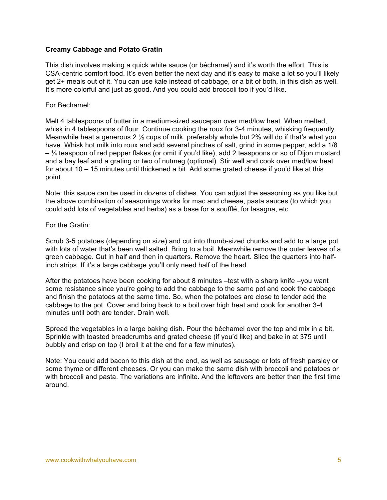### **Creamy Cabbage and Potato Gratin**

This dish involves making a quick white sauce (or béchamel) and it's worth the effort. This is CSA-centric comfort food. It's even better the next day and it's easy to make a lot so you'll likely get 2+ meals out of it. You can use kale instead of cabbage, or a bit of both, in this dish as well. It's more colorful and just as good. And you could add broccoli too if you'd like.

#### For Bechamel:

Melt 4 tablespoons of butter in a medium-sized saucepan over med/low heat. When melted, whisk in 4 tablespoons of flour. Continue cooking the roux for 3-4 minutes, whisking frequently. Meanwhile heat a generous 2  $\frac{1}{2}$  cups of milk, preferably whole but 2% will do if that's what you have. Whisk hot milk into roux and add several pinches of salt, grind in some pepper, add a 1/8 – ¼ teaspoon of red pepper flakes (or omit if you'd like), add 2 teaspoons or so of Dijon mustard and a bay leaf and a grating or two of nutmeg (optional). Stir well and cook over med/low heat for about 10 – 15 minutes until thickened a bit. Add some grated cheese if you'd like at this point.

Note: this sauce can be used in dozens of dishes. You can adjust the seasoning as you like but the above combination of seasonings works for mac and cheese, pasta sauces (to which you could add lots of vegetables and herbs) as a base for a soufflé, for lasagna, etc.

#### For the Gratin:

Scrub 3-5 potatoes (depending on size) and cut into thumb-sized chunks and add to a large pot with lots of water that's been well salted. Bring to a boil. Meanwhile remove the outer leaves of a green cabbage. Cut in half and then in quarters. Remove the heart. Slice the quarters into halfinch strips. If it's a large cabbage you'll only need half of the head.

After the potatoes have been cooking for about 8 minutes –test with a sharp knife –you want some resistance since you're going to add the cabbage to the same pot and cook the cabbage and finish the potatoes at the same time. So, when the potatoes are close to tender add the cabbage to the pot. Cover and bring back to a boil over high heat and cook for another 3-4 minutes until both are tender. Drain well.

Spread the vegetables in a large baking dish. Pour the béchamel over the top and mix in a bit. Sprinkle with toasted breadcrumbs and grated cheese (if you'd like) and bake in at 375 until bubbly and crisp on top (I broil it at the end for a few minutes).

Note: You could add bacon to this dish at the end, as well as sausage or lots of fresh parsley or some thyme or different cheeses. Or you can make the same dish with broccoli and potatoes or with broccoli and pasta. The variations are infinite. And the leftovers are better than the first time around.